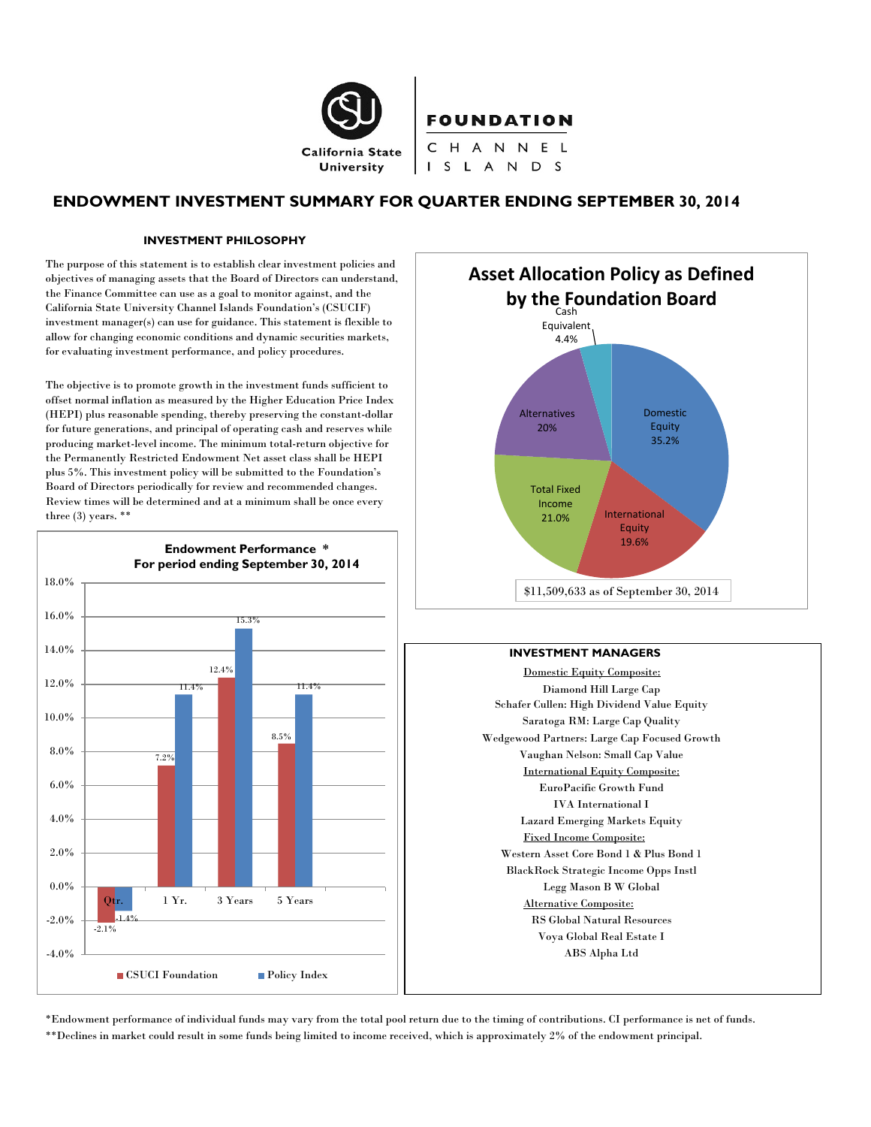

# **ENDOWMENT INVESTMENT SUMMARY FOR QUARTER ENDING SEPTEMBER 30, 2014**

#### **INVESTMENT PHILOSOPHY**

The purpose of this statement is to establish clear investment policies and objectives of managing assets that the Board of Directors can understand, the Finance Committee can use as a goal to monitor against, and the California State University Channel Islands Foundation's (CSUCIF) investment manager(s) can use for guidance. This statement is flexible to allow for changing economic conditions and dynamic securities markets, for evaluating investment performance, and policy procedures.

The objective is to promote growth in the investment funds sufficient to offset normal inflation as measured by the Higher Education Price Index (HEPI) plus reasonable spending, thereby preserving the constant-dollar for future generations, and principal of operating cash and reserves while producing market-level income. The minimum total-return objective for the Permanently Restricted Endowment Net asset class shall be HEPI plus 5%. This investment policy will be submitted to the Foundation's Board of Directors periodically for review and recommended changes. Review times will be determined and at a minimum shall be once every three (3) years. \*\*





#### **INVESTMENT MANAGERS**

Domestic Equity Composite: Diamond Hill Large Cap Schafer Cullen: High Dividend Value Equity Saratoga RM: Large Cap Quality Wedgewood Partners: Large Cap Focused Growth Vaughan Nelson: Small Cap Value International Equity Composite: EuroPacific Growth Fund IVA International I Lazard Emerging Markets Equity Fixed Income Composite: Western Asset Core Bond 1 & Plus Bond 1 BlackRock Strategic Income Opps Instl Legg Mason B W Global Alternative Composite: RS Global Natural Resources Voya Global Real Estate I ABS Alpha Ltd

\*Endowment performance of individual funds may vary from the total pool return due to the timing of contributions. CI performance is net of funds. \*\*Declines in market could result in some funds being limited to income received, which is approximately 2% of the endowment principal.